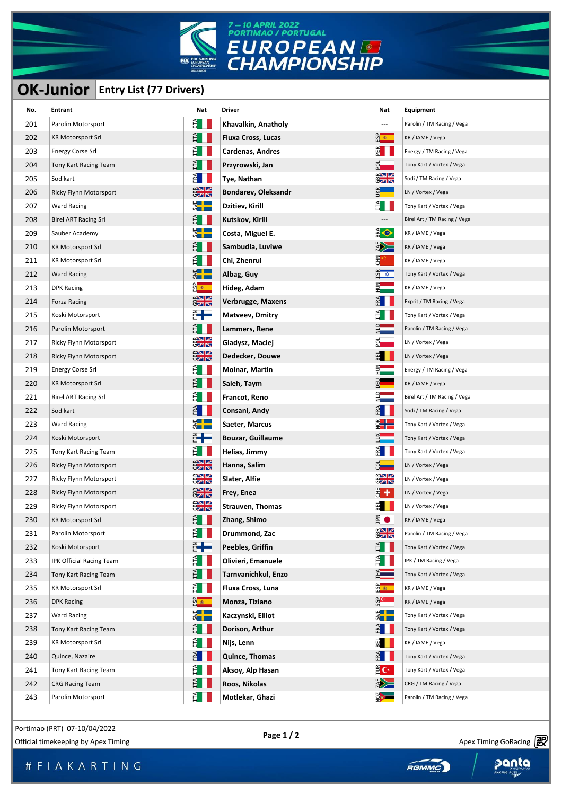

## 7 - 10 APRIL 2022<br>PORTIMAO / PORTUGAL

## **OK-Junior Entry List (77 Drivers)**

|     |                                          | <b>OK/JUNIOR</b>               |                           |                               |                              |
|-----|------------------------------------------|--------------------------------|---------------------------|-------------------------------|------------------------------|
|     | <b>OK-Junior</b> Entry List (77 Drivers) |                                |                           |                               |                              |
| No. | <b>Entrant</b>                           | Nat                            | <b>Driver</b>             | Nat                           | Equipment                    |
| 201 | Parolin Motorsport                       | E I                            | Khavalkin, Anatholy       | ---                           | Parolin / TM Racing / Vega   |
| 202 | <b>KR Motorsport Srl</b>                 | E I I                          | <b>Fluxa Cross, Lucas</b> | <mark>ិទី ៖</mark>            | KR / IAME / Vega             |
| 203 | <b>Energy Corse Srl</b>                  | E.                             | Cardenas, Andres          | PER<br>E                      | Energy / TM Racing / Vega    |
| 204 | Tony Kart Racing Team                    | Ě                              | Przyrowski, Jan           | 화                             | Tony Kart / Vortex / Vega    |
| 205 | Sodikart                                 | FRA                            | Tye, Nathan               | $\frac{2}{3}$                 | Sodi / TM Racing / Vega      |
| 206 | Ricky Flynn Motorsport                   | $\frac{1}{2}$                  | Bondarev, Oleksandr       | uкв<br>-                      | LN / Vortex / Vega           |
| 207 | Ward Racing                              | $rac{4}{5}$                    | Dzitiev, Kirill           | Ĕ                             | Tony Kart / Vortex / Vega    |
| 208 | <b>Birel ART Racing Srl</b>              | Ê II                           | Kutskov, Kirill           | ---                           | Birel Art / TM Racing / Vega |
| 209 | Sauber Academy                           | $\frac{4}{3}$ $\frac{1}{2}$    | Costa, Miguel E.          | <b>BR</b>                     | KR / IAME / Vega             |
| 210 | <b>KR Motorsport Srl</b>                 | E.                             | Sambudla, Luviwe          | <b>EXAMPLE</b>                | KR / IAME / Vega             |
| 211 | <b>KR Motorsport Srl</b>                 | Ê                              | Chi, Zhenrui              | 륅                             | KR / IAME / Vega             |
| 212 | <b>Ward Racing</b>                       | $\frac{1}{2}$ in $\frac{1}{2}$ | Albag, Guy                | $\overline{M}$ $\overline{M}$ | Tony Kart / Vortex / Vega    |
| 213 | <b>DPK Racing</b>                        | <u>ထိုး ေ</u>                  | Hideg, Adam               |                               | KR / IAME / Vega             |
| 214 | Forza Racing                             | $\frac{1}{2}$                  | Verbrugge, Maxens         |                               | Exprit / TM Racing / Vega    |
| 215 | Koski Motorsport                         | ┋╋═                            | Matveev, Dmitry           |                               | Tony Kart / Vortex / Vega    |
| 216 | Parolin Motorsport                       | E I I                          | Lammers, Rene             |                               | Parolin / TM Racing / Vega   |
| 217 | Ricky Flynn Motorsport                   | $\frac{1}{2}$                  | Gladysz, Maciej           | ā                             | LN / Vortex / Vega           |
| 218 | Ricky Flynn Motorsport                   | $\frac{1}{2}$                  | Dedecker, Douwe           | 3EI                           | LN / Vortex / Vega           |
| 219 | <b>Energy Corse Srl</b>                  | E I I                          | Molnar, Martin            |                               | Energy / TM Racing / Vega    |
| 220 | <b>KR Motorsport Srl</b>                 | Ħ.                             | Saleh, Taym               |                               | KR / IAME / Vega             |
| 221 | <b>Birel ART Racing Srl</b>              | F,                             | Francot, Reno             |                               | Birel Art / TM Racing / Vega |
| 222 | Sodikart                                 | FA                             | Consani, Andy             | ਖ਼                            | Sodi / TM Racing / Vega      |
| 223 | <b>Ward Racing</b>                       | $rac{1}{2}$                    | Saeter, Marcus            |                               | Tony Kart / Vortex / Vega    |
| 224 | Koski Motorsport                         | ╬╋                             | <b>Bouzar, Guillaume</b>  |                               | Tony Kart / Vortex / Vega    |
| 225 | Tony Kart Racing Team                    | Ê II                           | Helias, Jimmy             | 뛰                             | Tony Kart / Vortex / Vega    |
| 226 | Ricky Flynn Motorsport                   | $\frac{1}{\sqrt{2}}$           | Hanna, Salim              |                               | LN / Vortex / Vega           |
| 227 | Ricky Flynn Motorsport                   | $\frac{1}{2}$                  | Slater, Alfie             | $\frac{1}{2}$                 | LN / Vortex / Vega           |
| 228 | Ricky Flynn Motorsport                   | $X = 1$<br>$\sigma$ an         | Frey, Enea                | $\frac{1}{3}$ + $\frac{1}{3}$ | LN / Vortex / Vega           |
| 229 | Ricky Flynn Motorsport                   | $\frac{1}{2}$                  | <b>Strauven, Thomas</b>   | 핆                             | LN / Vortex / Vega           |
| 230 | <b>KR Motorsport Srl</b>                 | Ê II                           | Zhang, Shimo              | <b>NdC</b><br>$\bullet$       | KR / IAME / Vega             |
| 231 | Parolin Motorsport                       | $F_{\rm H}$                    | Drummond, Zac             | $\frac{2}{3}$                 | Parolin / TM Racing / Vega   |
| 232 | Koski Motorsport                         | ╬╋═                            | Peebles, Griffin          | ÈH                            | Tony Kart / Vortex / Vega    |
| 233 | IPK Official Racing Team                 | Ê II                           | Olivieri, Emanuele        | Ĕ                             | IPK / TM Racing / Vega       |
| 234 | Tony Kart Racing Team                    | E I I                          | Tarnvanichkul, Enzo       |                               | Tony Kart / Vortex / Vega    |
| 235 | <b>KR Motorsport Srl</b>                 | E I I                          | Fluxa Cross, Luna         | <u>ଜି≇ା</u>                   | KR / IAME / Vega             |
| 236 | <b>DPK Racing</b>                        | ន្ធ<br>ខេ                      | Monza, Tiziano            | မ္ <mark>ပြ</mark> ေတာ့<br>မ  | KR / IAME / Vega             |
| 237 | <b>Ward Racing</b>                       | E<br>S                         | Kaczynski, Elliot         | E<br>S                        | Tony Kart / Vortex / Vega    |
| 238 | Tony Kart Racing Team                    | Ê II                           | Dorison, Arthur           | E                             | Tony Kart / Vortex / Vega    |
| 239 | <b>KR Motorsport Srl</b>                 | EII                            | Nijs, Lenn                | EL                            | KR / IAME / Vega             |
| 240 | Quince, Nazaire                          | $F_{\text{RA}}$                | Quince, Thomas            | FRA                           | Tony Kart / Vortex / Vega    |
| 241 | Tony Kart Racing Team                    | EII                            | Aksoy, Alp Hasan          | $rac{1}{2}C^*$                | Tony Kart / Vortex / Vega    |
| 242 | <b>CRG Racing Team</b>                   | EII                            | Roos, Nikolas             | <b>EXP</b>                    | CRG / TM Racing / Vega       |
| 243 | Parolin Motorsport                       | E I                            | Motlekar, Ghazi           | $\frac{1}{2}$                 | Parolin / TM Racing / Vega   |

Portimao (PRT) 07-10/04/2022

Page 1 / 2<br>Official timekeeping by Apex Timing **Container and Container Apex Timing Gorehand Apex Timing Gorehand Apex Timing Gorehand Apex Timing Gorehand Apex Timing Gorehand Apex Timing Gorehand Apex Timing Gorehand Ape** 

Apex Timing - drive your success https://www.apex-timing.com/